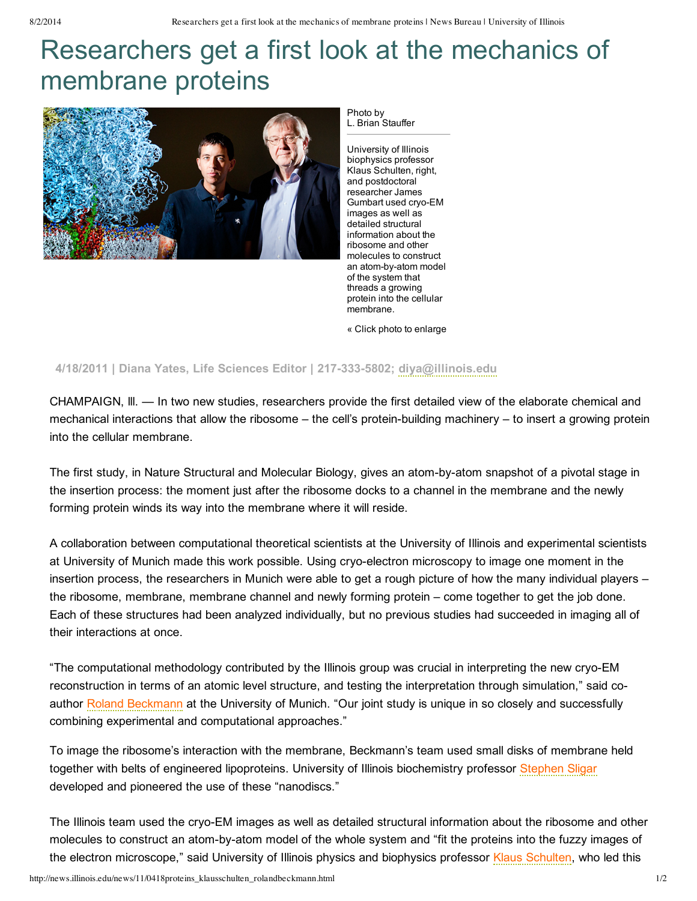## Researchers get a first look at the mechanics of membrane proteins



Photo by L. Brian Stauffer

University of Illinois biophysics professor Klaus Schulten, right, and postdoctoral researcher James Gumbart used cryo-EM images as well as detailed structural information about the ribosome and other molecules to construct an atom-by-atom model of the system that threads a growing protein into the cellular membrane.

« Click photo to enlarge

## **4/18/2011 | Diana Yates, Life Sciences Editor | 2173335802; [diya@illinois.edu](mailto:diya@illinois.edu)**

CHAMPAIGN, lll. — In two new studies, researchers provide the first detailed view of the elaborate chemical and mechanical interactions that allow the ribosome – the cell's protein-building machinery – to insert a growing protein into the cellular membrane.

The first study, in Nature Structural and Molecular Biology, gives an atom-by-atom snapshot of a pivotal stage in the insertion process: the moment just after the ribosome docks to a channel in the membrane and the newly forming protein winds its way into the membrane where it will reside.

A collaboration between computational theoretical scientists at the University of Illinois and experimental scientists at University of Munich made this work possible. Using cryo-electron microscopy to image one moment in the insertion process, the researchers in Munich were able to get a rough picture of how the many individual players – the ribosome, membrane, membrane channel and newly forming protein – come together to get the job done. Each of these structures had been analyzed individually, but no previous studies had succeeded in imaging all of their interactions at once.

"The computational methodology contributed by the Illinois group was crucial in interpreting the new cryo-EM reconstruction in terms of an atomic level structure, and testing the interpretation through simulation," said co-author Roland [Beckmann](http://www.cipsm.de/en/aboutCIPSM/members/beckmannRoland/index.html?style=0) at the University of Munich. "Our joint study is unique in so closely and successfully combining experimental and computational approaches."

To image the ribosome's interaction with the membrane, Beckmann's team used small disks of membrane held together with belts of engineered lipoproteins. University of Illinois biochemistry professor [Stephen](http://mcb.illinois.edu/faculty/profile/s-sligar) Sligar developed and pioneered the use of these "nanodiscs."

The Illinois team used the cryo-EM images as well as detailed structural information about the ribosome and other molecules to construct an atom-by-atom model of the whole system and "fit the proteins into the fuzzy images of the electron microscope," said University of Illinois physics and biophysics professor Klaus [Schulten](http://physics.illinois.edu/people/profile.asp?schulten), who led this